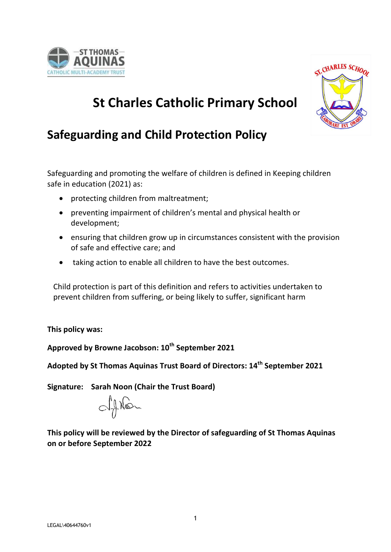



**St Charles Catholic Primary School** 

# **Safeguarding and Child Protection Policy**

Safeguarding and promoting the welfare of children is defined in Keeping children safe in education (2021) as:

- protecting children from maltreatment;
- preventing impairment of children's mental and physical health or development;
- ensuring that children grow up in circumstances consistent with the provision of safe and effective care; and
- taking action to enable all children to have the best outcomes.

Child protection is part of this definition and refers to activities undertaken to prevent children from suffering, or being likely to suffer, significant harm

**This policy was:**

**Approved by Browne Jacobson: 10th September 2021**

**Adopted by St Thomas Aquinas Trust Board of Directors: 14 th September 2021**

**Signature: Sarah Noon (Chair the Trust Board)**

objeton

**This policy will be reviewed by the Director of safeguarding of St Thomas Aquinas on or before September 2022**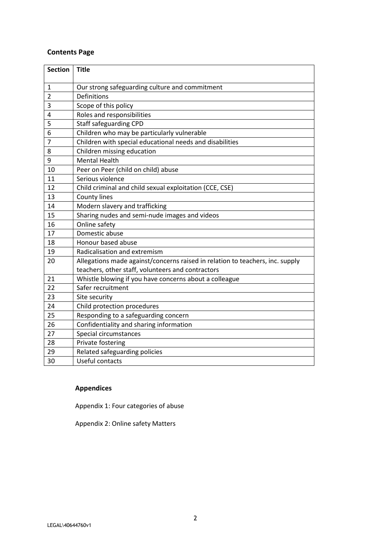## **Contents Page**

| <b>Section</b> | <b>Title</b>                                                                  |
|----------------|-------------------------------------------------------------------------------|
| 1              | Our strong safeguarding culture and commitment                                |
| $\overline{2}$ | <b>Definitions</b>                                                            |
| 3              | Scope of this policy                                                          |
| 4              | Roles and responsibilities                                                    |
| 5              | <b>Staff safeguarding CPD</b>                                                 |
| 6              | Children who may be particularly vulnerable                                   |
| 7              | Children with special educational needs and disabilities                      |
| 8              | Children missing education                                                    |
| 9              | <b>Mental Health</b>                                                          |
| 10             | Peer on Peer (child on child) abuse                                           |
| 11             | Serious violence                                                              |
| 12             | Child criminal and child sexual exploitation (CCE, CSE)                       |
| 13             | County lines                                                                  |
| 14             | Modern slavery and trafficking                                                |
| 15             | Sharing nudes and semi-nude images and videos                                 |
| 16             | Online safety                                                                 |
| 17             | Domestic abuse                                                                |
| 18             | Honour based abuse                                                            |
| 19             | Radicalisation and extremism                                                  |
| 20             | Allegations made against/concerns raised in relation to teachers, inc. supply |
|                | teachers, other staff, volunteers and contractors                             |
| 21             | Whistle blowing if you have concerns about a colleague                        |
| 22             | Safer recruitment                                                             |
| 23             | Site security                                                                 |
| 24             | Child protection procedures                                                   |
| 25             | Responding to a safeguarding concern                                          |
| 26             | Confidentiality and sharing information                                       |
| 27             | Special circumstances                                                         |
| 28             | Private fostering                                                             |
| 29             | Related safeguarding policies                                                 |
| 30             | Useful contacts                                                               |

# **Appendices**

Appendix 1: Four categories of abuse

Appendix 2: Online safety Matters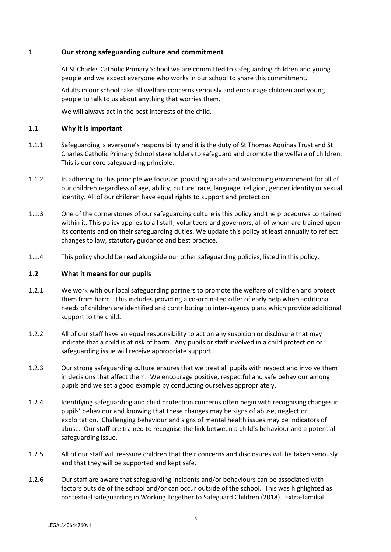## **1 Our strong safeguarding culture and commitment**

At St Charles Catholic Primary School we are committed to safeguarding children and young people and we expect everyone who works in our school to share this commitment.

Adults in our school take all welfare concerns seriously and encourage children and young people to talk to us about anything that worries them.

We will always act in the best interests of the child.

#### **1.1 Why it is important**

- 1.1.1 Safeguarding is everyone's responsibility and it is the duty of St Thomas Aquinas Trust and St Charles Catholic Primary School stakeholders to safeguard and promote the welfare of children. This is our core safeguarding principle.
- 1.1.2 In adhering to this principle we focus on providing a safe and welcoming environment for all of our children regardless of age, ability, culture, race, language, religion, gender identity or sexual identity. All of our children have equal rights to support and protection.
- 1.1.3 One of the cornerstones of our safeguarding culture is this policy and the procedures contained within it. This policy applies to all staff, volunteers and governors, all of whom are trained upon its contents and on their safeguarding duties. We update this policy at least annually to reflect changes to law, statutory guidance and best practice.
- 1.1.4 This policy should be read alongside our other safeguarding policies, listed in this policy.

#### **1.2 What it means for our pupils**

- 1.2.1 We work with our local safeguarding partners to promote the welfare of children and protect them from harm. This includes providing a co-ordinated offer of early help when additional needs of children are identified and contributing to inter-agency plans which provide additional support to the child.
- 1.2.2 All of our staff have an equal responsibility to act on any suspicion or disclosure that may indicate that a child is at risk of harm. Any pupils or staff involved in a child protection or safeguarding issue will receive appropriate support.
- 1.2.3 Our strong safeguarding culture ensures that we treat all pupils with respect and involve them in decisions that affect them. We encourage positive, respectful and safe behaviour among pupils and we set a good example by conducting ourselves appropriately.
- 1.2.4 Identifying safeguarding and child protection concerns often begin with recognising changes in pupils' behaviour and knowing that these changes may be signs of abuse, neglect or exploitation. Challenging behaviour and signs of mental health issues may be indicators of abuse. Our staff are trained to recognise the link between a child's behaviour and a potential safeguarding issue.
- 1.2.5 All of our staff will reassure children that their concerns and disclosures will be taken seriously and that they will be supported and kept safe.
- 1.2.6 Our staff are aware that safeguarding incidents and/or behaviours can be associated with factors outside of the school and/or can occur outside of the school. This was highlighted as contextual safeguarding in Working Together to Safeguard Children (2018). Extra-familial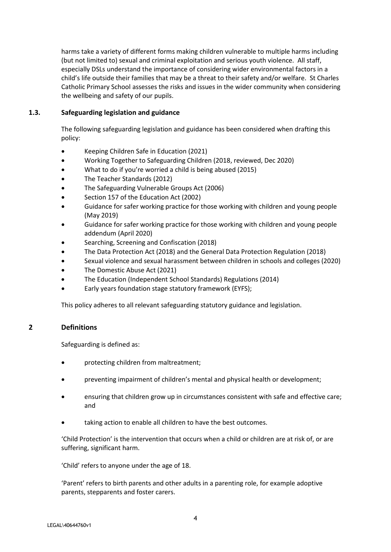harms take a variety of different forms making children vulnerable to multiple harms including (but not limited to) sexual and criminal exploitation and serious youth violence. All staff, especially DSLs understand the importance of considering wider environmental factors in a child's life outside their families that may be a threat to their safety and/or welfare. St Charles Catholic Primary School assesses the risks and issues in the wider community when considering the wellbeing and safety of our pupils.

## **1.3. Safeguarding legislation and guidance**

The following safeguarding legislation and guidance has been considered when drafting this policy:

- Keeping Children Safe in Education (2021)
- Working Together to Safeguarding Children (2018, reviewed, Dec 2020)
- What to do if you're worried a child is being abused (2015)
- The Teacher Standards (2012)
- The Safeguarding Vulnerable Groups Act (2006)
- Section 157 of the Education Act (2002)
- Guidance for safer working practice for those working with children and young people (May 2019)
- Guidance for safer working practice for those working with children and young people addendum (April 2020)
- Searching, Screening and Confiscation (2018)
- The Data Protection Act (2018) and the General Data Protection Regulation (2018)
- Sexual violence and sexual harassment between children in schools and colleges (2020)
- The Domestic Abuse Act (2021)
- The Education (Independent School Standards) Regulations (2014)
- Early years foundation stage statutory framework (EYFS);

This policy adheres to all relevant safeguarding statutory guidance and legislation.

## **2 Definitions**

Safeguarding is defined as:

- protecting children from maltreatment;
- preventing impairment of children's mental and physical health or development;
- ensuring that children grow up in circumstances consistent with safe and effective care; and
- taking action to enable all children to have the best outcomes.

'Child Protection' is the intervention that occurs when a child or children are at risk of, or are suffering, significant harm.

'Child' refers to anyone under the age of 18.

'Parent' refers to birth parents and other adults in a parenting role, for example adoptive parents, stepparents and foster carers.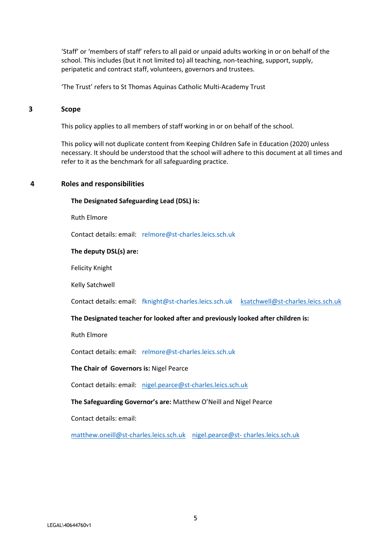'Staff' or 'members of staff' refers to all paid or unpaid adults working in or on behalf of the school. This includes (but it not limited to) all teaching, non-teaching, support, supply, peripatetic and contract staff, volunteers, governors and trustees.

'The Trust' refers to St Thomas Aquinas Catholic Multi-Academy Trust

#### **3 Scope**

This policy applies to all members of staff working in or on behalf of the school.

This policy will not duplicate content from Keeping Children Safe in Education (2020) unless necessary. It should be understood that the school will adhere to this document at all times and refer to it as the benchmark for all safeguarding practice.

#### **4 Roles and responsibilities**

**The Designated Safeguarding Lead (DSL) is:**

Ruth Elmore

Contact details: email: [relmore@st-charles.leics.sch.uk](mailto:relmore@st-charles.leics.sch.uk) 

#### **The deputy DSL(s) are:**

Felicity Knight

Kelly Satchwell

Contact details: email: [fknight@st-charles.leics.sch.uk](mailto:fknight@st-charles.leics.sch.uk) [ksatchwell@st-charles.leics.sch.uk](mailto:ksatchwell@st-charles.leics.sch.uk)

#### **The Designated teacher for looked after and previously looked after children is:**

Ruth Elmore

Contact details: email: [relmore@st-charles.leics.sch.uk](mailto:relmore@st-charles.leics.sch.uk) 

#### **The Chair of Governors is:** Nigel Pearce

Contact details: email: [nigel.pearce@st-charles.leics.sch.uk](mailto:nigel.pearce@st-charles.leics.sch.uk)

#### **The Safeguarding Governor's are:** Matthew O'Neill and Nigel Pearce

Contact details: email:

[matthew.oneill@st-charles.leics.sch.uk](mailto:matthew.oneill@st-charles.leics.sch.uk) nigel.pearce@st- [charles.leics.sch.uk](mailto:nigel.pearce@st-%20charles.leics.sch.uk)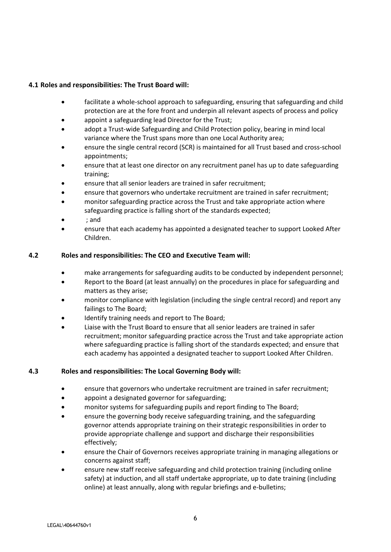## **4.1 Roles and responsibilities: The Trust Board will:**

- facilitate a whole-school approach to safeguarding, ensuring that safeguarding and child protection are at the fore front and underpin all relevant aspects of process and policy
- appoint a safeguarding lead Director for the Trust;
- adopt a Trust-wide Safeguarding and Child Protection policy, bearing in mind local variance where the Trust spans more than one Local Authority area;
- ensure the single central record (SCR) is maintained for all Trust based and cross-school appointments;
- ensure that at least one director on any recruitment panel has up to date safeguarding training;
- ensure that all senior leaders are trained in safer recruitment;
- ensure that governors who undertake recruitment are trained in safer recruitment;
- monitor safeguarding practice across the Trust and take appropriate action where safeguarding practice is falling short of the standards expected;
- ; and
- ensure that each academy has appointed a designated teacher to support Looked After Children.

#### **4.2 Roles and responsibilities: The CEO and Executive Team will:**

- make arrangements for safeguarding audits to be conducted by independent personnel;
- Report to the Board (at least annually) on the procedures in place for safeguarding and matters as they arise;
- monitor compliance with legislation (including the single central record) and report any failings to The Board;
- Identify training needs and report to The Board;
- Liaise with the Trust Board to ensure that all senior leaders are trained in safer recruitment; monitor safeguarding practice across the Trust and take appropriate action where safeguarding practice is falling short of the standards expected; and ensure that each academy has appointed a designated teacher to support Looked After Children.

#### **4.3 Roles and responsibilities: The Local Governing Body will:**

- ensure that governors who undertake recruitment are trained in safer recruitment;
- appoint a designated governor for safeguarding;
- monitor systems for safeguarding pupils and report finding to The Board;
- ensure the governing body receive safeguarding training, and the safeguarding governor attends appropriate training on their strategic responsibilities in order to provide appropriate challenge and support and discharge their responsibilities effectively;
- ensure the Chair of Governors receives appropriate training in managing allegations or concerns against staff;
- ensure new staff receive safeguarding and child protection training (including online safety) at induction, and all staff undertake appropriate, up to date training (including online) at least annually, along with regular briefings and e-bulletins;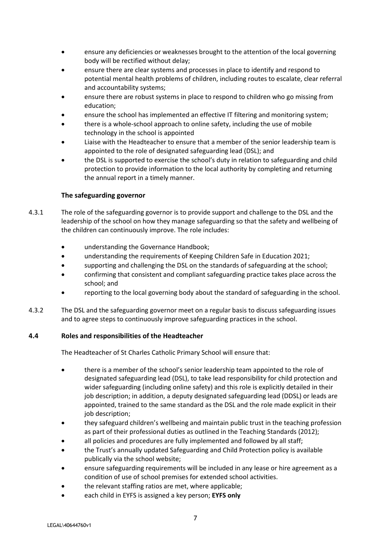- ensure any deficiencies or weaknesses brought to the attention of the local governing body will be rectified without delay;
- ensure there are clear systems and processes in place to identify and respond to potential mental health problems of children, including routes to escalate, clear referral and accountability systems;
- ensure there are robust systems in place to respond to children who go missing from education;
- ensure the school has implemented an effective IT filtering and monitoring system;
- there is a whole-school approach to online safety, including the use of mobile technology in the school is appointed
- Liaise with the Headteacher to ensure that a member of the senior leadership team is appointed to the role of designated safeguarding lead (DSL); and
- the DSL is supported to exercise the school's duty in relation to safeguarding and child protection to provide information to the local authority by completing and returning the annual report in a timely manner.

## **The safeguarding governor**

- 4.3.1 The role of the safeguarding governor is to provide support and challenge to the DSL and the leadership of the school on how they manage safeguarding so that the safety and wellbeing of the children can continuously improve. The role includes:
	- understanding the Governance Handbook;
	- understanding the requirements of Keeping Children Safe in Education 2021;
	- supporting and challenging the DSL on the standards of safeguarding at the school;
	- confirming that consistent and compliant safeguarding practice takes place across the school; and
	- reporting to the local governing body about the standard of safeguarding in the school.
- 4.3.2 The DSL and the safeguarding governor meet on a regular basis to discuss safeguarding issues and to agree steps to continuously improve safeguarding practices in the school.

## **4.4 Roles and responsibilities of the Headteacher**

The Headteacher of St Charles Catholic Primary School will ensure that:

- there is a member of the school's senior leadership team appointed to the role of designated safeguarding lead (DSL), to take lead responsibility for child protection and wider safeguarding (including online safety) and this role is explicitly detailed in their job description; in addition, a deputy designated safeguarding lead (DDSL) or leads are appointed, trained to the same standard as the DSL and the role made explicit in their job description;
- they safeguard children's wellbeing and maintain public trust in the teaching profession as part of their professional duties as outlined in the Teaching Standards (2012);
- all policies and procedures are fully implemented and followed by all staff;
- the Trust's annually updated Safeguarding and Child Protection policy is available publically via the school website;
- ensure safeguarding requirements will be included in any lease or hire agreement as a condition of use of school premises for extended school activities.
- the relevant staffing ratios are met, where applicable;
- each child in EYFS is assigned a key person; **EYFS only**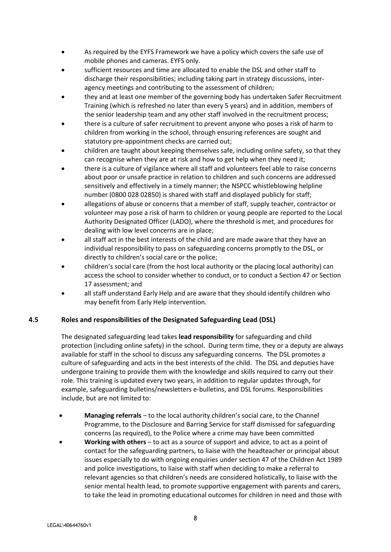- As required by the EYFS Framework we have a policy which covers the safe use of mobile phones and cameras. EYFS only.
- sufficient resources and time are allocated to enable the DSL and other staff to discharge their responsibilities; including taking part in strategy discussions, interagency meetings and contributing to the assessment of children;
- they and at least one member of the governing body has undertaken Safer Recruitment Training (which is refreshed no later than every 5 years) and in addition, members of the senior leadership team and any other staff involved in the recruitment process;
- there is a culture of safer recruitment to prevent anyone who poses a risk of harm to children from working in the school, through ensuring references are sought and statutory pre-appointment checks are carried out;
- children are taught about keeping themselves safe, including online safety, so that they can recognise when they are at risk and how to get help when they need it;
- there is a culture of vigilance where all staff and volunteers feel able to raise concerns about poor or unsafe practice in relation to children and such concerns are addressed sensitively and effectively in a timely manner; the NSPCC whistleblowing helpline number (0800 028 02850) is shared with staff and displayed publicly for staff;
- allegations of abuse or concerns that a member of staff, supply teacher, contractor or volunteer may pose a risk of harm to children or young people are reported to the Local Authority Designated Officer (LADO), where the threshold is met, and procedures for dealing with low level concerns are in place;
- all staff act in the best interests of the child and are made aware that they have an individual responsibility to pass on safeguarding concerns promptly to the DSL, or directly to children's social care or the police;
- children's social care (from the host local authority or the placing local authority) can access the school to consider whether to conduct, or to conduct a Section 47 or Section 17 assessment; and
- all staff understand Early Help and are aware that they should identify children who may benefit from Early Help intervention.

## **4.5 Roles and responsibilities of the Designated Safeguarding Lead (DSL)**

The designated safeguarding lead takes **lead responsibility** for safeguarding and child protection (including online safety) in the school. During term time, they or a deputy are always available for staff in the school to discuss any safeguarding concerns. The DSL promotes a culture of safeguarding and acts in the best interests of the child. The DSL and deputies have undergone training to provide them with the knowledge and skills required to carry out their role. This training is updated every two years, in addition to regular updates through, for example, safeguarding bulletins/newsletters e-bulletins, and DSL forums. Responsibilities include, but are not limited to:

- **Managing referrals** to the local authority children's social care, to the Channel Programme, to the Disclosure and Barring Service for staff dismissed for safeguarding concerns (as required), to the Police where a crime may have been committed
- **Working with others** to act as a source of support and advice, to act as a point of contact for the safeguarding partners, to liaise with the headteacher or principal about issues especially to do with ongoing enquiries under section 47 of the Children Act 1989 and police investigations, to liaise with staff when deciding to make a referral to relevant agencies so that children's needs are considered holistically, to liaise with the senior mental health lead, to promote supportive engagement with parents and carers, to take the lead in promoting educational outcomes for children in need and those with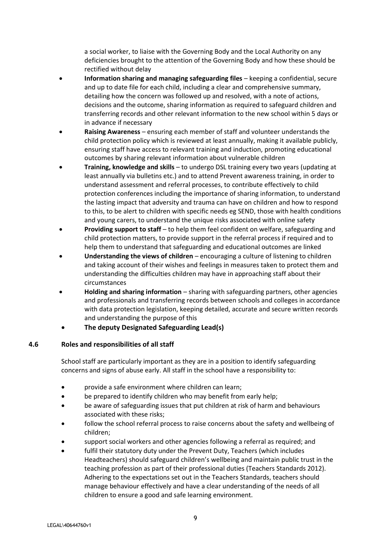a social worker, to liaise with the Governing Body and the Local Authority on any deficiencies brought to the attention of the Governing Body and how these should be rectified without delay

- **Information sharing and managing safeguarding files** keeping a confidential, secure and up to date file for each child, including a clear and comprehensive summary, detailing how the concern was followed up and resolved, with a note of actions, decisions and the outcome, sharing information as required to safeguard children and transferring records and other relevant information to the new school within 5 days or in advance if necessary
- **Raising Awareness** ensuring each member of staff and volunteer understands the child protection policy which is reviewed at least annually, making it available publicly, ensuring staff have access to relevant training and induction, promoting educational outcomes by sharing relevant information about vulnerable children
- **Training, knowledge and skills** to undergo DSL training every two years (updating at least annually via bulletins etc.) and to attend Prevent awareness training, in order to understand assessment and referral processes, to contribute effectively to child protection conferences including the importance of sharing information, to understand the lasting impact that adversity and trauma can have on children and how to respond to this, to be alert to children with specific needs eg SEND, those with health conditions and young carers, to understand the unique risks associated with online safety
- **Providing support to staff** to help them feel confident on welfare, safeguarding and child protection matters, to provide support in the referral process if required and to help them to understand that safeguarding and educational outcomes are linked
- **Understanding the views of children** encouraging a culture of listening to children and taking account of their wishes and feelings in measures taken to protect them and understanding the difficulties children may have in approaching staff about their circumstances
- **Holding and sharing information** sharing with safeguarding partners, other agencies and professionals and transferring records between schools and colleges in accordance with data protection legislation, keeping detailed, accurate and secure written records and understanding the purpose of this
- **The deputy Designated Safeguarding Lead(s)**

## **4.6 Roles and responsibilities of all staff**

School staff are particularly important as they are in a position to identify safeguarding concerns and signs of abuse early. All staff in the school have a responsibility to:

- provide a safe environment where children can learn;
- be prepared to identify children who may benefit from early help;
- be aware of safeguarding issues that put children at risk of harm and behaviours associated with these risks;
- follow the school referral process to raise concerns about the safety and wellbeing of children;
- support social workers and other agencies following a referral as required; and
- fulfil their statutory duty under the Prevent Duty, Teachers (which includes Headteachers) should safeguard children's wellbeing and maintain public trust in the teaching profession as part of their professional duties (Teachers Standards 2012). Adhering to the expectations set out in the Teachers Standards, teachers should manage behaviour effectively and have a clear understanding of the needs of all children to ensure a good and safe learning environment.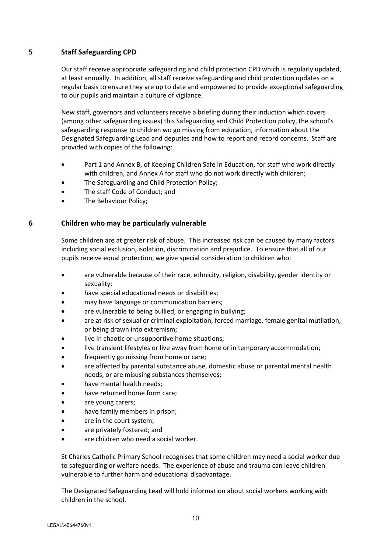## **5 Staff Safeguarding CPD**

Our staff receive appropriate safeguarding and child protection CPD which is regularly updated, at least annually. In addition, all staff receive safeguarding and child protection updates on a regular basis to ensure they are up to date and empowered to provide exceptional safeguarding to our pupils and maintain a culture of vigilance.

New staff, governors and volunteers receive a briefing during their induction which covers (among other safeguarding issues) this Safeguarding and Child Protection policy, the school's safeguarding response to children wo go missing from education, information about the Designated Safeguarding Lead and deputies and how to report and record concerns. Staff are provided with copies of the following:

- Part 1 and Annex B, of Keeping Children Safe in Education, for staff who work directly with children, and Annex A for staff who do not work directly with children;
- The Safeguarding and Child Protection Policy;
- The staff Code of Conduct; and
- The Behaviour Policy;

## **6 Children who may be particularly vulnerable**

Some children are at greater risk of abuse. This increased risk can be caused by many factors including social exclusion, isolation, discrimination and prejudice. To ensure that all of our pupils receive equal protection, we give special consideration to children who:

- are vulnerable because of their race, ethnicity, religion, disability, gender identity or sexuality;
- have special educational needs or disabilities;
- may have language or communication barriers;
- are vulnerable to being bullied, or engaging in bullying;
- are at risk of sexual or criminal exploitation, forced marriage, female genital mutilation, or being drawn into extremism;
- live in chaotic or unsupportive home situations;
- live transient lifestyles or live away from home or in temporary accommodation;
- frequently go missing from home or care;
- are affected by parental substance abuse, domestic abuse or parental mental health needs, or are misusing substances themselves;
- have mental health needs;
- have returned home form care;
- are young carers;
- have family members in prison;
- are in the court system;
- are privately fostered; and
- are children who need a social worker.

St Charles Catholic Primary School recognises that some children may need a social worker due to safeguarding or welfare needs. The experience of abuse and trauma can leave children vulnerable to further harm and educational disadvantage.

The Designated Safeguarding Lead will hold information about social workers working with children in the school.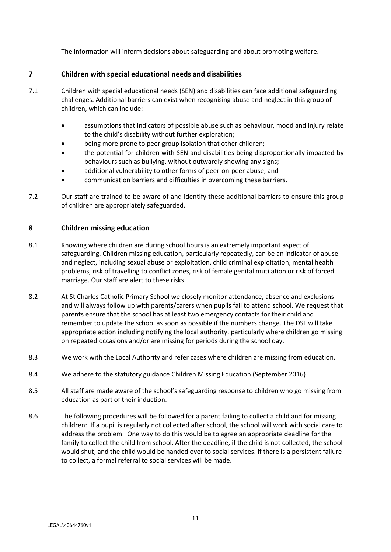The information will inform decisions about safeguarding and about promoting welfare.

## **7 Children with special educational needs and disabilities**

- 7.1 Children with special educational needs (SEN) and disabilities can face additional safeguarding challenges. Additional barriers can exist when recognising abuse and neglect in this group of children, which can include:
	- assumptions that indicators of possible abuse such as behaviour, mood and injury relate to the child's disability without further exploration;
	- being more prone to peer group isolation that other children;
	- the potential for children with SEN and disabilities being disproportionally impacted by behaviours such as bullying, without outwardly showing any signs;
	- additional vulnerability to other forms of peer-on-peer abuse; and
	- communication barriers and difficulties in overcoming these barriers.
- 7.2 Our staff are trained to be aware of and identify these additional barriers to ensure this group of children are appropriately safeguarded.

#### **8 Children missing education**

- 8.1 Knowing where children are during school hours is an extremely important aspect of safeguarding. Children missing education, particularly repeatedly, can be an indicator of abuse and neglect, including sexual abuse or exploitation, child criminal exploitation, mental health problems, risk of travelling to conflict zones, risk of female genital mutilation or risk of forced marriage. Our staff are alert to these risks.
- 8.2 At St Charles Catholic Primary School we closely monitor attendance, absence and exclusions and will always follow up with parents/carers when pupils fail to attend school. We request that parents ensure that the school has at least two emergency contacts for their child and remember to update the school as soon as possible if the numbers change. The DSL will take appropriate action including notifying the local authority, particularly where children go missing on repeated occasions and/or are missing for periods during the school day.
- 8.3 We work with the Local Authority and refer cases where children are missing from education.
- 8.4 We adhere to the statutory guidance Children Missing Education (September 2016)
- 8.5 All staff are made aware of the school's safeguarding response to children who go missing from education as part of their induction.
- 8.6 The following procedures will be followed for a parent failing to collect a child and for missing children: If a pupil is regularly not collected after school, the school will work with social care to address the problem. One way to do this would be to agree an appropriate deadline for the family to collect the child from school. After the deadline, if the child is not collected, the school would shut, and the child would be handed over to social services. If there is a persistent failure to collect, a formal referral to social services will be made.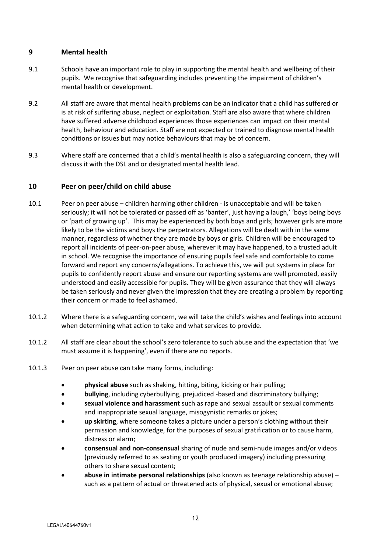## **9 Mental health**

- 9.1 Schools have an important role to play in supporting the mental health and wellbeing of their pupils. We recognise that safeguarding includes preventing the impairment of children's mental health or development.
- 9.2 All staff are aware that mental health problems can be an indicator that a child has suffered or is at risk of suffering abuse, neglect or exploitation. Staff are also aware that where children have suffered adverse childhood experiences those experiences can impact on their mental health, behaviour and education. Staff are not expected or trained to diagnose mental health conditions or issues but may notice behaviours that may be of concern.
- 9.3 Where staff are concerned that a child's mental health is also a safeguarding concern, they will discuss it with the DSL and or designated mental health lead.

## **10 Peer on peer/child on child abuse**

- 10.1 Peer on peer abuse children harming other children is unacceptable and will be taken seriously; it will not be tolerated or passed off as 'banter', just having a laugh,' 'boys being boys or 'part of growing up'. This may be experienced by both boys and girls; however girls are more likely to be the victims and boys the perpetrators. Allegations will be dealt with in the same manner, regardless of whether they are made by boys or girls. Children will be encouraged to report all incidents of peer-on-peer abuse, wherever it may have happened, to a trusted adult in school. We recognise the importance of ensuring pupils feel safe and comfortable to come forward and report any concerns/allegations. To achieve this, we will put systems in place for pupils to confidently report abuse and ensure our reporting systems are well promoted, easily understood and easily accessible for pupils. They will be given assurance that they will always be taken seriously and never given the impression that they are creating a problem by reporting their concern or made to feel ashamed.
- 10.1.2 Where there is a safeguarding concern, we will take the child's wishes and feelings into account when determining what action to take and what services to provide.
- 10.1.2 All staff are clear about the school's zero tolerance to such abuse and the expectation that 'we must assume it is happening', even if there are no reports.
- 10.1.3 Peer on peer abuse can take many forms, including:
	- **physical abuse** such as shaking, hitting, biting, kicking or hair pulling;
	- **bullying**, including cyberbullying, prejudiced -based and discriminatory bullying;
	- **sexual violence and harassment** such as rape and sexual assault or sexual comments and inappropriate sexual language, misogynistic remarks or jokes;
	- **up skirting**, where someone takes a picture under a person's clothing without their permission and knowledge, for the purposes of sexual gratification or to cause harm, distress or alarm;
	- **consensual and non-consensual** sharing of nude and semi-nude images and/or videos (previously referred to as sexting or youth produced imagery) including pressuring others to share sexual content;
	- **abuse in intimate personal relationships** (also known as teenage relationship abuse) such as a pattern of actual or threatened acts of physical, sexual or emotional abuse;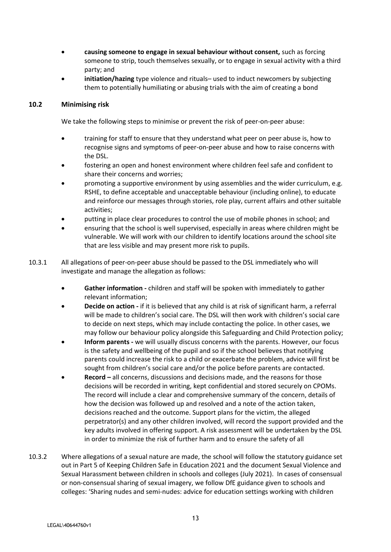- **causing someone to engage in sexual behaviour without consent,** such as forcing someone to strip, touch themselves sexually, or to engage in sexual activity with a third party; and
- **initiation/hazing** type violence and rituals– used to induct newcomers by subjecting them to potentially humiliating or abusing trials with the aim of creating a bond

## **10.2 Minimising risk**

We take the following steps to minimise or prevent the risk of peer-on-peer abuse:

- training for staff to ensure that they understand what peer on peer abuse is, how to recognise signs and symptoms of peer-on-peer abuse and how to raise concerns with the DSL.
- fostering an open and honest environment where children feel safe and confident to share their concerns and worries;
- promoting a supportive environment by using assemblies and the wider curriculum, e.g. RSHE, to define acceptable and unacceptable behaviour (including online), to educate and reinforce our messages through stories, role play, current affairs and other suitable activities;
- putting in place clear procedures to control the use of mobile phones in school; and
- ensuring that the school is well supervised, especially in areas where children might be vulnerable. We will work with our children to identify locations around the school site that are less visible and may present more risk to pupils.
- 10.3.1 All allegations of peer-on-peer abuse should be passed to the DSL immediately who will investigate and manage the allegation as follows:
	- **Gather information -** children and staff will be spoken with immediately to gather relevant information;
	- **Decide on action -** if it is believed that any child is at risk of significant harm, a referral will be made to children's social care. The DSL will then work with children's social care to decide on next steps, which may include contacting the police. In other cases, we may follow our behaviour policy alongside this Safeguarding and Child Protection policy;
	- **Inform parents -** we will usually discuss concerns with the parents. However, our focus is the safety and wellbeing of the pupil and so if the school believes that notifying parents could increase the risk to a child or exacerbate the problem, advice will first be sought from children's social care and/or the police before parents are contacted.
	- **Record –** all concerns, discussions and decisions made, and the reasons for those decisions will be recorded in writing, kept confidential and stored securely on CPOMs. The record will include a clear and comprehensive summary of the concern, details of how the decision was followed up and resolved and a note of the action taken, decisions reached and the outcome. Support plans for the victim, the alleged perpetrator(s) and any other children involved, will record the support provided and the key adults involved in offering support. A risk assessment will be undertaken by the DSL in order to minimize the risk of further harm and to ensure the safety of all
- 10.3.2 Where allegations of a sexual nature are made, the school will follow the statutory guidance set out in Part 5 of Keeping Children Safe in Education 2021 and the document Sexual Violence and Sexual Harassment between children in schools and colleges (July 2021). In cases of consensual or non-consensual sharing of sexual imagery, we follow DfE guidance given to schools and colleges: 'Sharing nudes and semi-nudes: advice for education settings working with children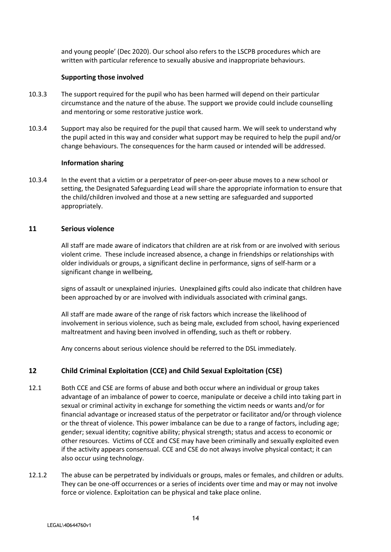and young people' (Dec 2020). Our school also refers to the LSCPB procedures which are written with particular reference to sexually abusive and inappropriate behaviours.

#### **Supporting those involved**

- 10.3.3 The support required for the pupil who has been harmed will depend on their particular circumstance and the nature of the abuse. The support we provide could include counselling and mentoring or some restorative justice work.
- 10.3.4 Support may also be required for the pupil that caused harm. We will seek to understand why the pupil acted in this way and consider what support may be required to help the pupil and/or change behaviours. The consequences for the harm caused or intended will be addressed.

#### **Information sharing**

10.3.4 In the event that a victim or a perpetrator of peer-on-peer abuse moves to a new school or setting, the Designated Safeguarding Lead will share the appropriate information to ensure that the child/children involved and those at a new setting are safeguarded and supported appropriately.

#### **11 Serious violence**

All staff are made aware of indicators that children are at risk from or are involved with serious violent crime. These include increased absence, a change in friendships or relationships with older individuals or groups, a significant decline in performance, signs of self-harm or a significant change in wellbeing,

signs of assault or unexplained injuries. Unexplained gifts could also indicate that children have been approached by or are involved with individuals associated with criminal gangs.

All staff are made aware of the range of risk factors which increase the likelihood of involvement in serious violence, such as being male, excluded from school, having experienced maltreatment and having been involved in offending, such as theft or robbery.

Any concerns about serious violence should be referred to the DSL immediately.

## **12 Child Criminal Exploitation (CCE) and Child Sexual Exploitation (CSE)**

- 12.1 Both CCE and CSE are forms of abuse and both occur where an individual or group takes advantage of an imbalance of power to coerce, manipulate or deceive a child into taking part in sexual or criminal activity in exchange for something the victim needs or wants and/or for financial advantage or increased status of the perpetrator or facilitator and/or through violence or the threat of violence. This power imbalance can be due to a range of factors, including age; gender; sexual identity; cognitive ability; physical strength; status and access to economic or other resources. Victims of CCE and CSE may have been criminally and sexually exploited even if the activity appears consensual. CCE and CSE do not always involve physical contact; it can also occur using technology.
- 12.1.2 The abuse can be perpetrated by individuals or groups, males or females, and children or adults. They can be one-off occurrences or a series of incidents over time and may or may not involve force or violence. Exploitation can be physical and take place online.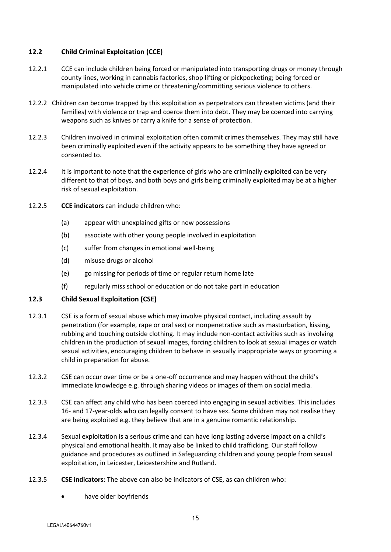## **12.2 Child Criminal Exploitation (CCE)**

- 12.2.1 CCE can include children being forced or manipulated into transporting drugs or money through county lines, working in cannabis factories, shop lifting or pickpocketing; being forced or manipulated into vehicle crime or threatening/committing serious violence to others.
- 12.2.2 Children can become trapped by this exploitation as perpetrators can threaten victims (and their families) with violence or trap and coerce them into debt. They may be coerced into carrying weapons such as knives or carry a knife for a sense of protection.
- 12.2.3 Children involved in criminal exploitation often commit crimes themselves. They may still have been criminally exploited even if the activity appears to be something they have agreed or consented to.
- 12.2.4 It is important to note that the experience of girls who are criminally exploited can be very different to that of boys, and both boys and girls being criminally exploited may be at a higher risk of sexual exploitation.
- 12.2.5 **CCE indicators** can include children who:
	- (a) appear with unexplained gifts or new possessions
	- (b) associate with other young people involved in exploitation
	- (c) suffer from changes in emotional well-being
	- (d) misuse drugs or alcohol
	- (e) go missing for periods of time or regular return home late
	- (f) regularly miss school or education or do not take part in education

## **12.3 Child Sexual Exploitation (CSE)**

- 12.3.1 CSE is a form of sexual abuse which may involve physical contact, including assault by penetration (for example, rape or oral sex) or nonpenetrative such as masturbation, kissing, rubbing and touching outside clothing. It may include non-contact activities such as involving children in the production of sexual images, forcing children to look at sexual images or watch sexual activities, encouraging children to behave in sexually inappropriate ways or grooming a child in preparation for abuse.
- 12.3.2 CSE can occur over time or be a one-off occurrence and may happen without the child's immediate knowledge e.g. through sharing videos or images of them on social media.
- 12.3.3 CSE can affect any child who has been coerced into engaging in sexual activities. This includes 16- and 17-year-olds who can legally consent to have sex. Some children may not realise they are being exploited e.g. they believe that are in a genuine romantic relationship.
- 12.3.4 Sexual exploitation is a serious crime and can have long lasting adverse impact on a child's physical and emotional health. It may also be linked to child trafficking. Our staff follow guidance and procedures as outlined in Safeguarding children and young people from sexual exploitation, in Leicester, Leicestershire and Rutland.
- 12.3.5 **CSE indicators**: The above can also be indicators of CSE, as can children who:
	- have older boyfriends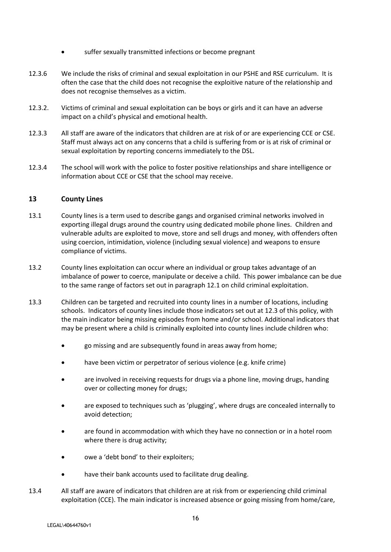- suffer sexually transmitted infections or become pregnant
- 12.3.6 We include the risks of criminal and sexual exploitation in our PSHE and RSE curriculum. It is often the case that the child does not recognise the exploitive nature of the relationship and does not recognise themselves as a victim.
- 12.3.2. Victims of criminal and sexual exploitation can be boys or girls and it can have an adverse impact on a child's physical and emotional health.
- 12.3.3 All staff are aware of the indicators that children are at risk of or are experiencing CCE or CSE. Staff must always act on any concerns that a child is suffering from or is at risk of criminal or sexual exploitation by reporting concerns immediately to the DSL.
- 12.3.4 The school will work with the police to foster positive relationships and share intelligence or information about CCE or CSE that the school may receive.

## **13 County Lines**

- 13.1 County lines is a term used to describe gangs and organised criminal networks involved in exporting illegal drugs around the country using dedicated mobile phone lines. Children and vulnerable adults are exploited to move, store and sell drugs and money, with offenders often using coercion, intimidation, violence (including sexual violence) and weapons to ensure compliance of victims.
- 13.2 County lines exploitation can occur where an individual or group takes advantage of an imbalance of power to coerce, manipulate or deceive a child. This power imbalance can be due to the same range of factors set out in paragraph 12.1 on child criminal exploitation.
- 13.3 Children can be targeted and recruited into county lines in a number of locations, including schools. Indicators of county lines include those indicators set out at 12.3 of this policy, with the main indicator being missing episodes from home and/or school. Additional indicators that may be present where a child is criminally exploited into county lines include children who:
	- go missing and are subsequently found in areas away from home;
	- have been victim or perpetrator of serious violence (e.g. knife crime)
	- are involved in receiving requests for drugs via a phone line, moving drugs, handing over or collecting money for drugs;
	- are exposed to techniques such as 'plugging', where drugs are concealed internally to avoid detection;
	- are found in accommodation with which they have no connection or in a hotel room where there is drug activity;
	- owe a 'debt bond' to their exploiters;
	- have their bank accounts used to facilitate drug dealing.
- 13.4 All staff are aware of indicators that children are at risk from or experiencing child criminal exploitation (CCE). The main indicator is increased absence or going missing from home/care,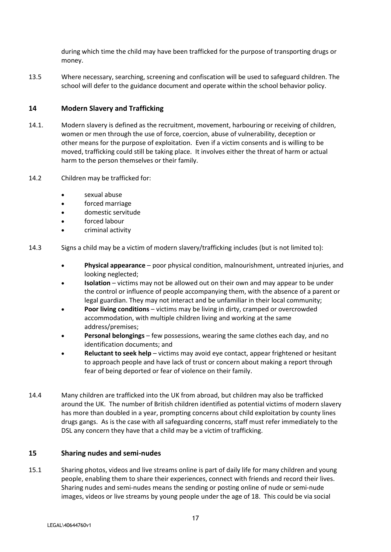during which time the child may have been trafficked for the purpose of transporting drugs or money.

13.5 Where necessary, searching, screening and confiscation will be used to safeguard children. The school will defer to the guidance document and operate within the school behavior policy.

#### **14 Modern Slavery and Trafficking**

- 14.1. Modern slavery is defined as the recruitment, movement, harbouring or receiving of children, women or men through the use of force, coercion, abuse of vulnerability, deception or other means for the purpose of exploitation. Even if a victim consents and is willing to be moved, trafficking could still be taking place. It involves either the threat of harm or actual harm to the person themselves or their family.
- 14.2 Children may be trafficked for:
	- sexual abuse
	- forced marriage
	- domestic servitude
	- forced labour
	- criminal activity
- 14.3 Signs a child may be a victim of modern slavery/trafficking includes (but is not limited to):
	- **Physical appearance** poor physical condition, malnourishment, untreated injuries, and looking neglected;
	- **Isolation**  victims may not be allowed out on their own and may appear to be under the control or influence of people accompanying them, with the absence of a parent or legal guardian. They may not interact and be unfamiliar in their local community;
	- **Poor living conditions** victims may be living in dirty, cramped or overcrowded accommodation, with multiple children living and working at the same address/premises;
	- **Personal belongings** few possessions, wearing the same clothes each day, and no identification documents; and
	- **Reluctant to seek help** victims may avoid eye contact, appear frightened or hesitant to approach people and have lack of trust or concern about making a report through fear of being deported or fear of violence on their family.
- 14.4 Many children are trafficked into the UK from abroad, but children may also be trafficked around the UK. The number of British children identified as potential victims of modern slavery has more than doubled in a year, prompting concerns about child exploitation by county lines drugs gangs. As is the case with all safeguarding concerns, staff must refer immediately to the DSL any concern they have that a child may be a victim of trafficking.

#### **15 Sharing nudes and semi-nudes**

15.1 Sharing photos, videos and live streams online is part of daily life for many children and young people, enabling them to share their experiences, connect with friends and record their lives. Sharing nudes and semi-nudes means the sending or posting online of nude or semi-nude images, videos or live streams by young people under the age of 18. This could be via social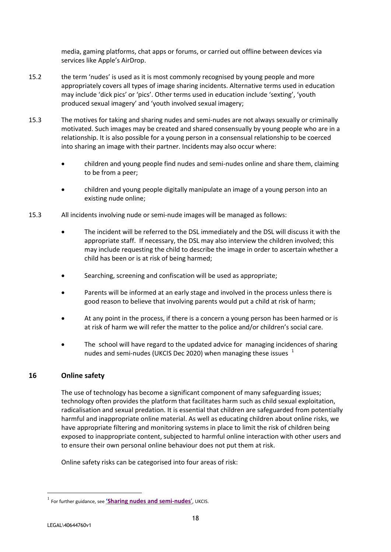media, gaming platforms, chat apps or forums, or carried out offline between devices via services like Apple's AirDrop.

- 15.2 the term 'nudes' is used as it is most commonly recognised by young people and more appropriately covers all types of image sharing incidents. Alternative terms used in education may include 'dick pics' or 'pics'. Other terms used in education include 'sexting', 'youth produced sexual imagery' and 'youth involved sexual imagery;
- 15.3 The motives for taking and sharing nudes and semi-nudes are not always sexually or criminally motivated. Such images may be created and shared consensually by young people who are in a relationship. It is also possible for a young person in a consensual relationship to be coerced into sharing an image with their partner. Incidents may also occur where:
	- children and young people find nudes and semi-nudes online and share them, claiming to be from a peer;
	- children and young people digitally manipulate an image of a young person into an existing nude online;
- 15.3 All incidents involving nude or semi-nude images will be managed as follows:
	- The incident will be referred to the DSL immediately and the DSL will discuss it with the appropriate staff. If necessary, the DSL may also interview the children involved; this may include requesting the child to describe the image in order to ascertain whether a child has been or is at risk of being harmed;
	- Searching, screening and confiscation will be used as appropriate;
	- Parents will be informed at an early stage and involved in the process unless there is good reason to believe that involving parents would put a child at risk of harm;
	- At any point in the process, if there is a concern a young person has been harmed or is at risk of harm we will refer the matter to the police and/or children's social care.
	- The school will have regard to the updated advice for managing incidences of sharing nudes and semi-nudes (UKCIS Dec 2020) when managing these issues  $1$

## **16 Online safety**

The use of technology has become a significant component of many safeguarding issues; technology often provides the platform that facilitates harm such as child sexual exploitation, radicalisation and sexual predation. It is essential that children are safeguarded from potentially harmful and inappropriate online material. As well as educating children about online risks, we have appropriate filtering and monitoring systems in place to limit the risk of children being exposed to inappropriate content, subjected to harmful online interaction with other users and to ensure their own personal online behaviour does not put them at risk.

Online safety risks can be categorised into four areas of risk:

1

<sup>1</sup> For further guidance, see **'[Sharing nudes and semi-nudes](https://assets.publishing.service.gov.uk/government/uploads/system/uploads/attachment_data/file/759009/Overview_of_Sexting_Guidance.pdf)**', UKCIS.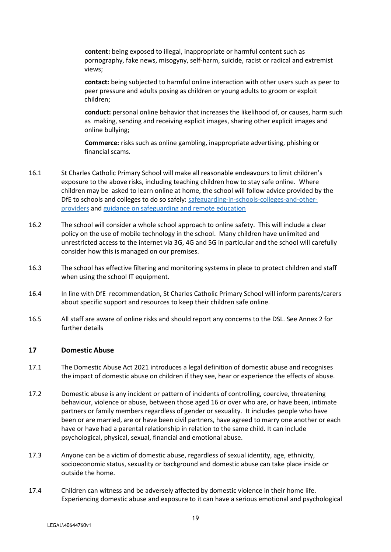**content:** being exposed to illegal, inappropriate or harmful content such as pornography, fake news, misogyny, self-harm, suicide, racist or radical and extremist views;

**contact:** being subjected to harmful online interaction with other users such as peer to peer pressure and adults posing as children or young adults to groom or exploit children;

**conduct:** personal online behavior that increases the likelihood of, or causes, harm such as making, sending and receiving explicit images, sharing other explicit images and online bullying;

**Commerce:** risks such as online gambling, inappropriate advertising, phishing or financial scams.

- 16.1 St Charles Catholic Primary School will make all reasonable endeavours to limit children's exposure to the above risks, including teaching children how to stay safe online. Where children may be asked to learn online at home, the school will follow advice provided by the DfE to schools and colleges to do so safely: safeguarding-in-schools-colleges-and-otherproviders and [guidance on safeguarding and remote education](https://www.gov.uk/guidance/safeguarding-and-remote-education-during-coronavirus-covid-19)
- 16.2 The school will consider a whole school approach to online safety. This will include a clear policy on the use of mobile technology in the school. Many children have unlimited and unrestricted access to the internet via 3G, 4G and 5G in particular and the school will carefully consider how this is managed on our premises.
- 16.3 The school has effective filtering and monitoring systems in place to protect children and staff when using the school IT equipment.
- 16.4 In line with DfE recommendation, St Charles Catholic Primary School will inform parents/carers about specific support and resources to keep their children safe online.
- 16.5 All staff are aware of online risks and should report any concerns to the DSL. See Annex 2 for further details

#### **17 Domestic Abuse**

- 17.1 The Domestic Abuse Act 2021 introduces a legal definition of domestic abuse and recognises the impact of domestic abuse on children if they see, hear or experience the effects of abuse.
- 17.2 Domestic abuse is any incident or pattern of incidents of controlling, coercive, threatening behaviour, violence or abuse, between those aged 16 or over who are, or have been, intimate partners or family members regardless of gender or sexuality. It includes people who have been or are married, are or have been civil partners, have agreed to marry one another or each have or have had a parental relationship in relation to the same child. It can include psychological, physical, sexual, financial and emotional abuse.
- 17.3 Anyone can be a victim of domestic abuse, regardless of sexual identity, age, ethnicity, socioeconomic status, sexuality or background and domestic abuse can take place inside or outside the home.
- 17.4 Children can witness and be adversely affected by domestic violence in their home life. Experiencing domestic abuse and exposure to it can have a serious emotional and psychological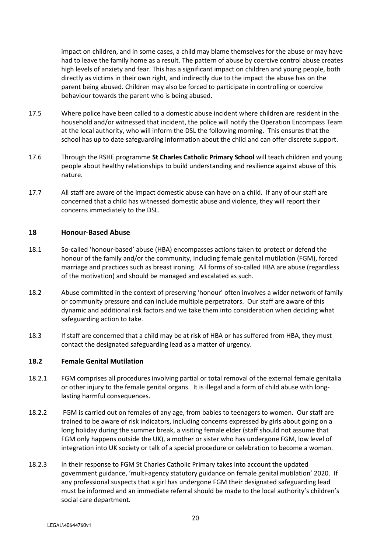impact on children, and in some cases, a child may blame themselves for the abuse or may have had to leave the family home as a result. The pattern of abuse by coercive control abuse creates high levels of anxiety and fear. This has a significant impact on children and young people, both directly as victims in their own right, and indirectly due to the impact the abuse has on the parent being abused. Children may also be forced to participate in controlling or coercive behaviour towards the parent who is being abused.

- 17.5 Where police have been called to a domestic abuse incident where children are resident in the household and/or witnessed that incident, the police will notify the Operation Encompass Team at the local authority, who will inform the DSL the following morning. This ensures that the school has up to date safeguarding information about the child and can offer discrete support.
- 17.6 Through the RSHE programme **St Charles Catholic Primary School** will teach children and young people about healthy relationships to build understanding and resilience against abuse of this nature.
- 17.7 All staff are aware of the impact domestic abuse can have on a child. If any of our staff are concerned that a child has witnessed domestic abuse and violence, they will report their concerns immediately to the DSL.

#### **18 Honour-Based Abuse**

- 18.1 So-called 'honour-based' abuse (HBA) encompasses actions taken to protect or defend the honour of the family and/or the community, including female genital mutilation (FGM), forced marriage and practices such as breast ironing. All forms of so-called HBA are abuse (regardless of the motivation) and should be managed and escalated as such.
- 18.2 Abuse committed in the context of preserving 'honour' often involves a wider network of family or community pressure and can include multiple perpetrators. Our staff are aware of this dynamic and additional risk factors and we take them into consideration when deciding what safeguarding action to take.
- 18.3 If staff are concerned that a child may be at risk of HBA or has suffered from HBA, they must contact the designated safeguarding lead as a matter of urgency.

#### **18.2 Female Genital Mutilation**

- 18.2.1 FGM comprises all procedures involving partial or total removal of the external female genitalia or other injury to the female genital organs. It is illegal and a form of child abuse with longlasting harmful consequences.
- 18.2.2 FGM is carried out on females of any age, from babies to teenagers to women. Our staff are trained to be aware of risk indicators, including concerns expressed by girls about going on a long holiday during the summer break, a visiting female elder (staff should not assume that FGM only happens outside the UK), a mother or sister who has undergone FGM, low level of integration into UK society or talk of a special procedure or celebration to become a woman.
- 18.2.3 In their response to FGM St Charles Catholic Primary takes into account the updated government guidance, 'multi-agency statutory guidance on female genital mutilation' 2020. If any professional suspects that a girl has undergone FGM their designated safeguarding lead must be informed and an immediate referral should be made to the local authority's children's social care department.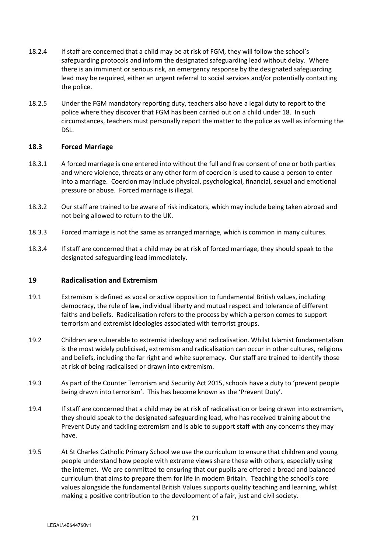- 18.2.4 If staff are concerned that a child may be at risk of FGM, they will follow the school's safeguarding protocols and inform the designated safeguarding lead without delay. Where there is an imminent or serious risk, an emergency response by the designated safeguarding lead may be required, either an urgent referral to social services and/or potentially contacting the police.
- 18.2.5 Under the FGM mandatory reporting duty, teachers also have a legal duty to report to the police where they discover that FGM has been carried out on a child under 18. In such circumstances, teachers must personally report the matter to the police as well as informing the DSL.

#### **18.3 Forced Marriage**

- 18.3.1 A forced marriage is one entered into without the full and free consent of one or both parties and where violence, threats or any other form of coercion is used to cause a person to enter into a marriage. Coercion may include physical, psychological, financial, sexual and emotional pressure or abuse. Forced marriage is illegal.
- 18.3.2 Our staff are trained to be aware of risk indicators, which may include being taken abroad and not being allowed to return to the UK.
- 18.3.3 Forced marriage is not the same as arranged marriage, which is common in many cultures.
- 18.3.4 If staff are concerned that a child may be at risk of forced marriage, they should speak to the designated safeguarding lead immediately.

#### **19 Radicalisation and Extremism**

- 19.1 Extremism is defined as vocal or active opposition to fundamental British values, including democracy, the rule of law, individual liberty and mutual respect and tolerance of different faiths and beliefs. Radicalisation refers to the process by which a person comes to support terrorism and extremist ideologies associated with terrorist groups.
- 19.2 Children are vulnerable to extremist ideology and radicalisation. Whilst Islamist fundamentalism is the most widely publicised, extremism and radicalisation can occur in other cultures, religions and beliefs, including the far right and white supremacy. Our staff are trained to identify those at risk of being radicalised or drawn into extremism.
- 19.3 As part of the Counter Terrorism and Security Act 2015, schools have a duty to 'prevent people being drawn into terrorism'. This has become known as the 'Prevent Duty'.
- 19.4 If staff are concerned that a child may be at risk of radicalisation or being drawn into extremism, they should speak to the designated safeguarding lead, who has received training about the Prevent Duty and tackling extremism and is able to support staff with any concerns they may have.
- 19.5 At St Charles Catholic Primary School we use the curriculum to ensure that children and young people understand how people with extreme views share these with others, especially using the internet. We are committed to ensuring that our pupils are offered a broad and balanced curriculum that aims to prepare them for life in modern Britain. Teaching the school's core values alongside the fundamental British Values supports quality teaching and learning, whilst making a positive contribution to the development of a fair, just and civil society.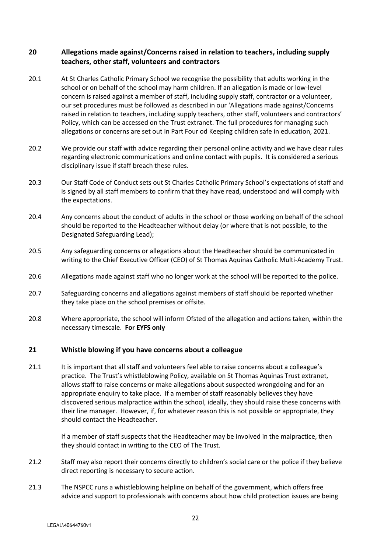## **20 Allegations made against/Concerns raised in relation to teachers, including supply teachers, other staff, volunteers and contractors**

- 20.1 At St Charles Catholic Primary School we recognise the possibility that adults working in the school or on behalf of the school may harm children. If an allegation is made or low-level concern is raised against a member of staff, including supply staff, contractor or a volunteer, our set procedures must be followed as described in our 'Allegations made against/Concerns raised in relation to teachers, including supply teachers, other staff, volunteers and contractors' Policy, which can be accessed on the Trust extranet. The full procedures for managing such allegations or concerns are set out in Part Four od Keeping children safe in education, 2021.
- 20.2 We provide our staff with advice regarding their personal online activity and we have clear rules regarding electronic communications and online contact with pupils. It is considered a serious disciplinary issue if staff breach these rules.
- 20.3 Our Staff Code of Conduct sets out St Charles Catholic Primary School's expectations of staff and is signed by all staff members to confirm that they have read, understood and will comply with the expectations.
- 20.4 Any concerns about the conduct of adults in the school or those working on behalf of the school should be reported to the Headteacher without delay (or where that is not possible, to the Designated Safeguarding Lead);
- 20.5 Any safeguarding concerns or allegations about the Headteacher should be communicated in writing to the Chief Executive Officer (CEO) of St Thomas Aquinas Catholic Multi-Academy Trust.
- 20.6 Allegations made against staff who no longer work at the school will be reported to the police.
- 20.7 Safeguarding concerns and allegations against members of staff should be reported whether they take place on the school premises or offsite.
- 20.8 Where appropriate, the school will inform Ofsted of the allegation and actions taken, within the necessary timescale. **For EYFS only**

## **21 Whistle blowing if you have concerns about a colleague**

21.1 It is important that all staff and volunteers feel able to raise concerns about a colleague's practice. The Trust's whistleblowing Policy, available on St Thomas Aquinas Trust extranet, allows staff to raise concerns or make allegations about suspected wrongdoing and for an appropriate enquiry to take place. If a member of staff reasonably believes they have discovered serious malpractice within the school, ideally, they should raise these concerns with their line manager. However, if, for whatever reason this is not possible or appropriate, they should contact the Headteacher.

> If a member of staff suspects that the Headteacher may be involved in the malpractice, then they should contact in writing to the CEO of The Trust.

- 21.2 Staff may also report their concerns directly to children's social care or the police if they believe direct reporting is necessary to secure action.
- 21.3 The NSPCC runs a whistleblowing helpline on behalf of the government, which offers free advice and support to professionals with concerns about how child protection issues are being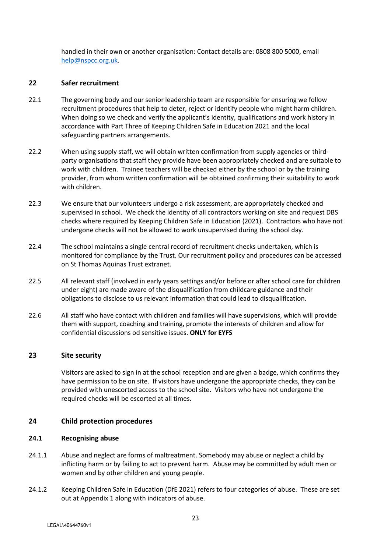handled in their own or another organisation: Contact details are: 0808 800 5000, email [help@nspcc.org.uk.](mailto:help@nspcc.org.uk)

#### **22 Safer recruitment**

- 22.1 The governing body and our senior leadership team are responsible for ensuring we follow recruitment procedures that help to deter, reject or identify people who might harm children. When doing so we check and verify the applicant's identity, qualifications and work history in accordance with Part Three of Keeping Children Safe in Education 2021 and the local safeguarding partners arrangements.
- 22.2 When using supply staff, we will obtain written confirmation from supply agencies or thirdparty organisations that staff they provide have been appropriately checked and are suitable to work with children. Trainee teachers will be checked either by the school or by the training provider, from whom written confirmation will be obtained confirming their suitability to work with children.
- 22.3 We ensure that our volunteers undergo a risk assessment, are appropriately checked and supervised in school. We check the identity of all contractors working on site and request DBS checks where required by Keeping Children Safe in Education (2021). Contractors who have not undergone checks will not be allowed to work unsupervised during the school day.
- 22.4 The school maintains a single central record of recruitment checks undertaken, which is monitored for compliance by the Trust. Our recruitment policy and procedures can be accessed on St Thomas Aquinas Trust extranet.
- 22.5 All relevant staff (involved in early years settings and/or before or after school care for children under eight) are made aware of the disqualification from childcare guidance and their obligations to disclose to us relevant information that could lead to disqualification.
- 22.6 All staff who have contact with children and families will have supervisions, which will provide them with support, coaching and training, promote the interests of children and allow for confidential discussions od sensitive issues. **ONLY for EYFS**

## **23 Site security**

Visitors are asked to sign in at the school reception and are given a badge, which confirms they have permission to be on site. If visitors have undergone the appropriate checks, they can be provided with unescorted access to the school site. Visitors who have not undergone the required checks will be escorted at all times.

## **24 Child protection procedures**

#### **24.1 Recognising abuse**

- 24.1.1 Abuse and neglect are forms of maltreatment. Somebody may abuse or neglect a child by inflicting harm or by failing to act to prevent harm. Abuse may be committed by adult men or women and by other children and young people.
- 24.1.2 Keeping Children Safe in Education (DfE 2021) refers to four categories of abuse. These are set out at Appendix 1 along with indicators of abuse.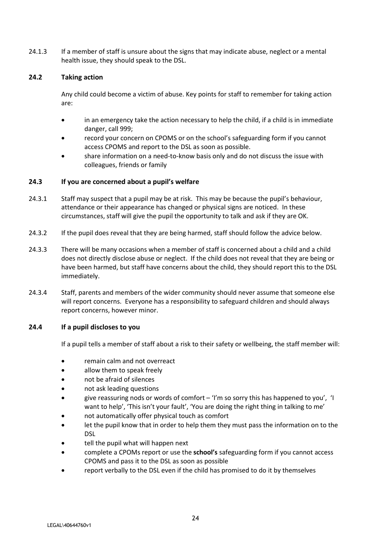24.1.3 If a member of staff is unsure about the signs that may indicate abuse, neglect or a mental health issue, they should speak to the DSL.

#### **24.2 Taking action**

Any child could become a victim of abuse. Key points for staff to remember for taking action are:

- in an emergency take the action necessary to help the child, if a child is in immediate danger, call 999;
- record your concern on CPOMS or on the school's safeguarding form if you cannot access CPOMS and report to the DSL as soon as possible.
- share information on a need-to-know basis only and do not discuss the issue with colleagues, friends or family

#### **24.3 If you are concerned about a pupil's welfare**

- 24.3.1 Staff may suspect that a pupil may be at risk. This may be because the pupil's behaviour, attendance or their appearance has changed or physical signs are noticed. In these circumstances, staff will give the pupil the opportunity to talk and ask if they are OK.
- 24.3.2 If the pupil does reveal that they are being harmed, staff should follow the advice below.
- 24.3.3 There will be many occasions when a member of staff is concerned about a child and a child does not directly disclose abuse or neglect. If the child does not reveal that they are being or have been harmed, but staff have concerns about the child, they should report this to the DSL immediately.
- 24.3.4 Staff, parents and members of the wider community should never assume that someone else will report concerns. Everyone has a responsibility to safeguard children and should always report concerns, however minor.

#### **24.4 If a pupil discloses to you**

If a pupil tells a member of staff about a risk to their safety or wellbeing, the staff member will:

- remain calm and not overreact
- allow them to speak freely
- not be afraid of silences
- not ask leading questions
- give reassuring nods or words of comfort 'I'm so sorry this has happened to you', 'I want to help', 'This isn't your fault', 'You are doing the right thing in talking to me'
- not automatically offer physical touch as comfort
- let the pupil know that in order to help them they must pass the information on to the DSL
- tell the pupil what will happen next
- complete a CPOMs report or use the **school's** safeguarding form if you cannot access CPOMS and pass it to the DSL as soon as possible
- report verbally to the DSL even if the child has promised to do it by themselves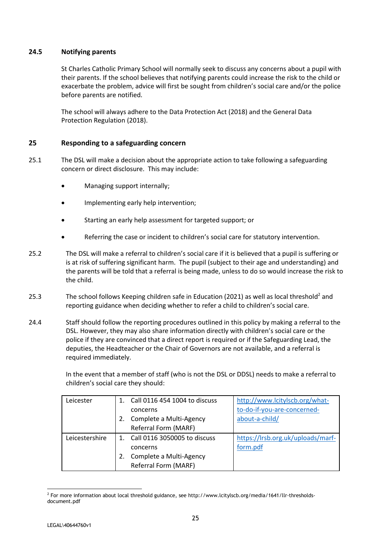## **24.5 Notifying parents**

St Charles Catholic Primary School will normally seek to discuss any concerns about a pupil with their parents. If the school believes that notifying parents could increase the risk to the child or exacerbate the problem, advice will first be sought from children's social care and/or the police before parents are notified.

The school will always adhere to the Data Protection Act (2018) and the General Data Protection Regulation (2018).

#### **25 Responding to a safeguarding concern**

- 25.1 The DSL will make a decision about the appropriate action to take following a safeguarding concern or direct disclosure. This may include:
	- Managing support internally;
	- Implementing early help intervention;
	- Starting an early help assessment for targeted support; or
	- Referring the case or incident to children's social care for statutory intervention.
- 25.2 The DSL will make a referral to children's social care if it is believed that a pupil is suffering or is at risk of suffering significant harm. The pupil (subject to their age and understanding) and the parents will be told that a referral is being made, unless to do so would increase the risk to the child.
- 25.3 The school follows Keeping children safe in Education (2021) as well as local threshold<sup>2</sup> and reporting guidance when deciding whether to refer a child to children's social care.
- 24.4 Staff should follow the reporting procedures outlined in this policy by making a referral to the DSL. However, they may also share information directly with children's social care or the police if they are convinced that a direct report is required or if the Safeguarding Lead, the deputies, the Headteacher or the Chair of Governors are not available, and a referral is required immediately.

In the event that a member of staff (who is not the DSL or DDSL) needs to make a referral to children's social care they should:

| Leicester      | Call 0116 454 1004 to discuss | http://www.lcitylscb.org/what-    |
|----------------|-------------------------------|-----------------------------------|
|                | concerns                      | to-do-if-you-are-concerned-       |
|                | Complete a Multi-Agency       | about-a-child/                    |
|                | Referral Form (MARF)          |                                   |
| Leicestershire | Call 0116 3050005 to discuss  | https://lrsb.org.uk/uploads/marf- |
|                | concerns                      | form.pdf                          |
|                | Complete a Multi-Agency       |                                   |
|                | Referral Form (MARF)          |                                   |

<sup>1</sup> <sup>2</sup> For more information about local threshold guidance, see http://www.lcitylscb.org/media/1641/llr-thresholdsdocument.pdf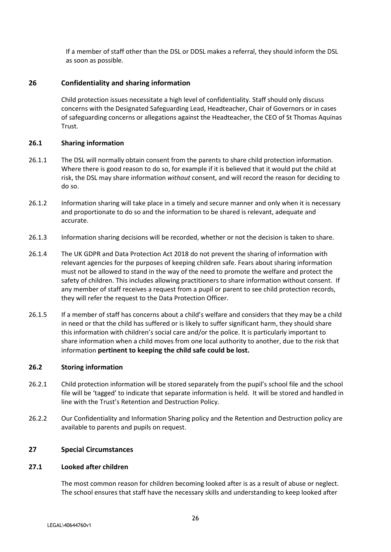If a member of staff other than the DSL or DDSL makes a referral, they should inform the DSL as soon as possible.

## **26 Confidentiality and sharing information**

Child protection issues necessitate a high level of confidentiality. Staff should only discuss concerns with the Designated Safeguarding Lead, Headteacher, Chair of Governors or in cases of safeguarding concerns or allegations against the Headteacher, the CEO of St Thomas Aquinas Trust.

#### **26.1 Sharing information**

- 26.1.1 The DSL will normally obtain consent from the parents to share child protection information. Where there is good reason to do so, for example if it is believed that it would put the child at risk, the DSL may share information *without* consent, and will record the reason for deciding to do so.
- 26.1.2 Information sharing will take place in a timely and secure manner and only when it is necessary and proportionate to do so and the information to be shared is relevant, adequate and accurate.
- 26.1.3 Information sharing decisions will be recorded, whether or not the decision is taken to share.
- 26.1.4 The UK GDPR and Data Protection Act 2018 do not prevent the sharing of information with relevant agencies for the purposes of keeping children safe. Fears about sharing information must not be allowed to stand in the way of the need to promote the welfare and protect the safety of children. This includes allowing practitioners to share information without consent. If any member of staff receives a request from a pupil or parent to see child protection records, they will refer the request to the Data Protection Officer.
- 26.1.5 If a member of staff has concerns about a child's welfare and considers that they may be a child in need or that the child has suffered or is likely to suffer significant harm, they should share this information with children's social care and/or the police. It is particularly important to share information when a child moves from one local authority to another, due to the risk that information **pertinent to keeping the child safe could be lost.**

## **26.2 Storing information**

- 26.2.1 Child protection information will be stored separately from the pupil's school file and the school file will be 'tagged' to indicate that separate information is held. It will be stored and handled in line with the Trust's Retention and Destruction Policy.
- 26.2.2 Our Confidentiality and Information Sharing policy and the Retention and Destruction policy are available to parents and pupils on request.

#### **27 Special Circumstances**

#### **27.1 Looked after children**

The most common reason for children becoming looked after is as a result of abuse or neglect. The school ensures that staff have the necessary skills and understanding to keep looked after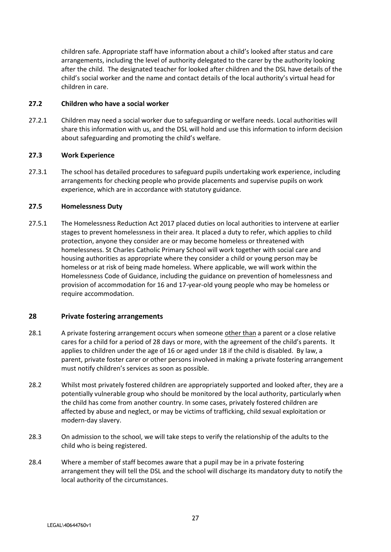children safe. Appropriate staff have information about a child's looked after status and care arrangements, including the level of authority delegated to the carer by the authority looking after the child. The designated teacher for looked after children and the DSL have details of the child's social worker and the name and contact details of the local authority's virtual head for children in care.

#### **27.2 Children who have a social worker**

27.2.1 Children may need a social worker due to safeguarding or welfare needs. Local authorities will share this information with us, and the DSL will hold and use this information to inform decision about safeguarding and promoting the child's welfare.

#### **27.3 Work Experience**

27.3.1 The school has detailed procedures to safeguard pupils undertaking work experience, including arrangements for checking people who provide placements and supervise pupils on work experience, which are in accordance with statutory guidance.

#### **27.5 Homelessness Duty**

27.5.1 The Homelessness Reduction Act 2017 placed duties on local authorities to intervene at earlier stages to prevent homelessness in their area. It placed a duty to refer, which applies to child protection, anyone they consider are or may become homeless or threatened with homelessness. St Charles Catholic Primary School will work together with social care and housing authorities as appropriate where they consider a child or young person may be homeless or at risk of being made homeless. Where applicable, we will work within the Homelessness Code of Guidance, including the guidance on prevention of homelessness and provision of accommodation for 16 and 17-year-old young people who may be homeless or require accommodation.

## **28 Private fostering arrangements**

- 28.1 A private fostering arrangement occurs when someone other than a parent or a close relative cares for a child for a period of 28 days or more, with the agreement of the child's parents. It applies to children under the age of 16 or aged under 18 if the child is disabled. By law, a parent, private foster carer or other persons involved in making a private fostering arrangement must notify children's services as soon as possible.
- 28.2 Whilst most privately fostered children are appropriately supported and looked after, they are a potentially vulnerable group who should be monitored by the local authority, particularly when the child has come from another country. In some cases, privately fostered children are affected by abuse and neglect, or may be victims of trafficking, child sexual exploitation or modern-day slavery.
- 28.3 On admission to the school, we will take steps to verify the relationship of the adults to the child who is being registered.
- 28.4 Where a member of staff becomes aware that a pupil may be in a private fostering arrangement they will tell the DSL and the school will discharge its mandatory duty to notify the local authority of the circumstances.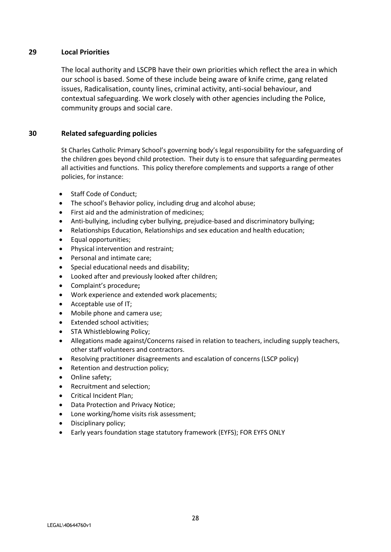## **29 Local Priorities**

The local authority and LSCPB have their own priorities which reflect the area in which our school is based. Some of these include being aware of knife crime, gang related issues, Radicalisation, county lines, criminal activity, anti-social behaviour, and contextual safeguarding. We work closely with other agencies including the Police, community groups and social care.

## **30 Related safeguarding policies**

St Charles Catholic Primary School's governing body's legal responsibility for the safeguarding of the children goes beyond child protection. Their duty is to ensure that safeguarding permeates all activities and functions. This policy therefore complements and supports a range of other policies, for instance:

- Staff Code of Conduct;
- The school's Behavior policy, including drug and alcohol abuse;
- First aid and the administration of medicines;
- Anti-bullying, including cyber bullying, prejudice-based and discriminatory bullying;
- Relationships Education, Relationships and sex education and health education;
- Equal opportunities;
- Physical intervention and restraint:
- Personal and intimate care;
- Special educational needs and disability;
- Looked after and previously looked after children;
- Complaint's procedure**;**
- Work experience and extended work placements;
- Acceptable use of IT;
- Mobile phone and camera use;
- Extended school activities;
- STA Whistleblowing Policy;
- Allegations made against/Concerns raised in relation to teachers, including supply teachers, other staff volunteers and contractors.
- Resolving practitioner disagreements and escalation of concerns (LSCP policy)
- Retention and destruction policy;
- Online safety;
- Recruitment and selection;
- Critical Incident Plan;
- Data Protection and Privacy Notice;
- Lone working/home visits risk assessment;
- Disciplinary policy;
- Early years foundation stage statutory framework (EYFS); FOR EYFS ONLY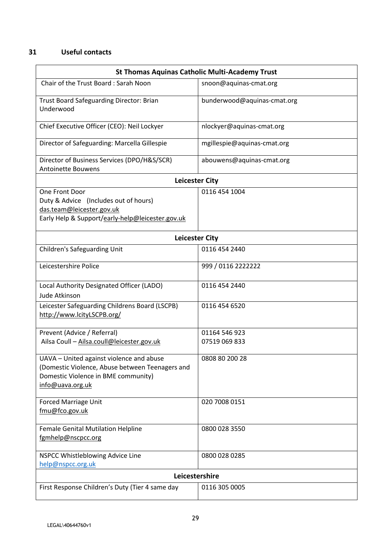## **31 Useful contacts**

| <b>St Thomas Aquinas Catholic Multi-Academy Trust</b>                                                                                                  |                             |  |  |  |  |
|--------------------------------------------------------------------------------------------------------------------------------------------------------|-----------------------------|--|--|--|--|
| Chair of the Trust Board: Sarah Noon                                                                                                                   | snoon@aquinas-cmat.org      |  |  |  |  |
| Trust Board Safeguarding Director: Brian<br>Underwood                                                                                                  | bunderwood@aquinas-cmat.org |  |  |  |  |
| Chief Executive Officer (CEO): Neil Lockyer                                                                                                            | nlockyer@aquinas-cmat.org   |  |  |  |  |
| Director of Safeguarding: Marcella Gillespie                                                                                                           | mgillespie@aquinas-cmat.org |  |  |  |  |
| Director of Business Services (DPO/H&S/SCR)<br><b>Antoinette Bouwens</b>                                                                               | abouwens@aquinas-cmat.org   |  |  |  |  |
| <b>Leicester City</b>                                                                                                                                  |                             |  |  |  |  |
| One Front Door<br>Duty & Advice (Includes out of hours)<br>das.team@leicester.gov.uk<br>Early Help & Support/early-help@leicester.gov.uk               | 0116 454 1004               |  |  |  |  |
| <b>Leicester City</b>                                                                                                                                  |                             |  |  |  |  |
| <b>Children's Safeguarding Unit</b>                                                                                                                    | 0116 454 2440               |  |  |  |  |
| Leicestershire Police                                                                                                                                  | 999 / 0116 2222222          |  |  |  |  |
| Local Authority Designated Officer (LADO)<br>Jude Atkinson                                                                                             | 0116 454 2440               |  |  |  |  |
| Leicester Safeguarding Childrens Board (LSCPB)<br>http://www.lcityLSCPB.org/                                                                           | 0116 454 6520               |  |  |  |  |
| Prevent (Advice / Referral)                                                                                                                            | 01164 546 923               |  |  |  |  |
| Ailsa Coull - Ailsa.coull@leicester.gov.uk                                                                                                             | 07519 069 833               |  |  |  |  |
| UAVA - United against violence and abuse<br>(Domestic Violence, Abuse between Teenagers and<br>Domestic Violence in BME community)<br>info@uava.org.uk | 0808 80 200 28              |  |  |  |  |
| <b>Forced Marriage Unit</b><br>fmu@fco.gov.uk                                                                                                          | 020 7008 0151               |  |  |  |  |
| Female Genital Mutilation Helpline<br>fgmhelp@nscpcc.org                                                                                               | 0800 028 3550               |  |  |  |  |
| NSPCC Whistleblowing Advice Line<br>help@nspcc.org.uk                                                                                                  | 0800 028 0285               |  |  |  |  |
| Leicestershire                                                                                                                                         |                             |  |  |  |  |
| First Response Children's Duty (Tier 4 same day                                                                                                        | 0116 305 0005               |  |  |  |  |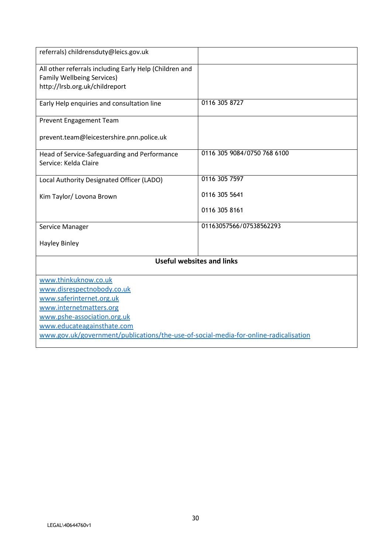| referrals) childrensduty@leics.gov.uk                                                                                         |                             |  |  |  |  |
|-------------------------------------------------------------------------------------------------------------------------------|-----------------------------|--|--|--|--|
| All other referrals including Early Help (Children and<br><b>Family Wellbeing Services)</b><br>http://lrsb.org.uk/childreport |                             |  |  |  |  |
|                                                                                                                               |                             |  |  |  |  |
| Early Help enquiries and consultation line                                                                                    | 0116 305 8727               |  |  |  |  |
| Prevent Engagement Team                                                                                                       |                             |  |  |  |  |
| prevent.team@leicestershire.pnn.police.uk                                                                                     |                             |  |  |  |  |
| Head of Service-Safeguarding and Performance<br>Service: Kelda Claire                                                         | 0116 305 9084/0750 768 6100 |  |  |  |  |
| Local Authority Designated Officer (LADO)                                                                                     | 0116 305 7597               |  |  |  |  |
| Kim Taylor/ Lovona Brown                                                                                                      | 0116 305 5641               |  |  |  |  |
|                                                                                                                               | 0116 305 8161               |  |  |  |  |
| Service Manager                                                                                                               | 01163057566/07538562293     |  |  |  |  |
| <b>Hayley Binley</b>                                                                                                          |                             |  |  |  |  |
| <b>Useful websites and links</b>                                                                                              |                             |  |  |  |  |
| www.thinkuknow.co.uk                                                                                                          |                             |  |  |  |  |
| www.disrespectnobody.co.uk                                                                                                    |                             |  |  |  |  |
| www.saferinternet.org.uk                                                                                                      |                             |  |  |  |  |
| www.internetmatters.org                                                                                                       |                             |  |  |  |  |
| www.pshe-association.org.uk                                                                                                   |                             |  |  |  |  |
| www.educateagainsthate.com                                                                                                    |                             |  |  |  |  |
| www.gov.uk/government/publications/the-use-of-social-media-for-online-radicalisation                                          |                             |  |  |  |  |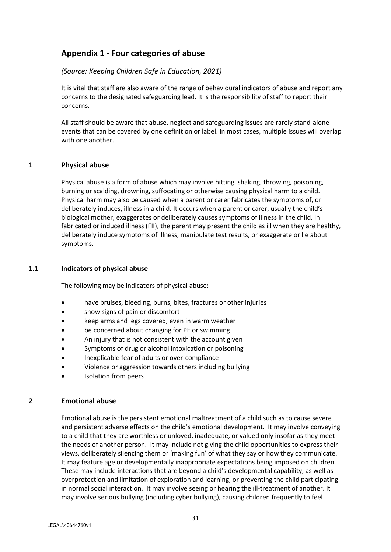# **Appendix 1 - Four categories of abuse**

## *(Source: Keeping Children Safe in Education, 2021)*

It is vital that staff are also aware of the range of behavioural indicators of abuse and report any concerns to the designated safeguarding lead. It is the responsibility of staff to report their concerns.

All staff should be aware that abuse, neglect and safeguarding issues are rarely stand-alone events that can be covered by one definition or label. In most cases, multiple issues will overlap with one another.

#### **1 Physical abuse**

Physical abuse is a form of abuse which may involve hitting, shaking, throwing, poisoning, burning or scalding, drowning, suffocating or otherwise causing physical harm to a child. Physical harm may also be caused when a parent or carer fabricates the symptoms of, or deliberately induces, illness in a child. It occurs when a parent or carer, usually the child's biological mother, exaggerates or deliberately causes symptoms of illness in the child. In fabricated or induced illness (FII), the parent may present the child as ill when they are healthy, deliberately induce symptoms of illness, manipulate test results, or exaggerate or lie about symptoms.

#### **1.1 Indicators of physical abuse**

The following may be indicators of physical abuse:

- have bruises, bleeding, burns, bites, fractures or other injuries
- show signs of pain or discomfort
- keep arms and legs covered, even in warm weather
- be concerned about changing for PE or swimming
- An injury that is not consistent with the account given
- Symptoms of drug or alcohol intoxication or poisoning
- Inexplicable fear of adults or over-compliance
- Violence or aggression towards others including bullying
- Isolation from peers

## **2 Emotional abuse**

Emotional abuse is the persistent emotional maltreatment of a child such as to cause severe and persistent adverse effects on the child's emotional development. It may involve conveying to a child that they are worthless or unloved, inadequate, or valued only insofar as they meet the needs of another person. It may include not giving the child opportunities to express their views, deliberately silencing them or 'making fun' of what they say or how they communicate. It may feature age or developmentally inappropriate expectations being imposed on children. These may include interactions that are beyond a child's developmental capability, as well as overprotection and limitation of exploration and learning, or preventing the child participating in normal social interaction. It may involve seeing or hearing the ill-treatment of another. It may involve serious bullying (including cyber bullying), causing children frequently to feel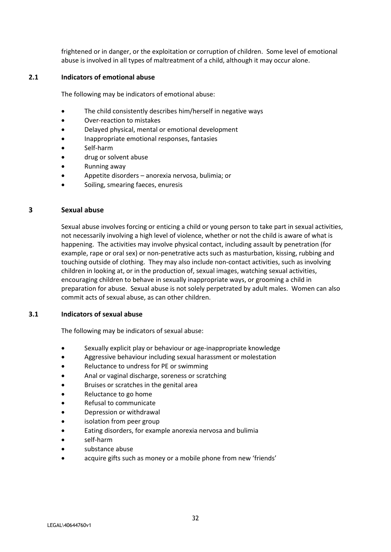frightened or in danger, or the exploitation or corruption of children. Some level of emotional abuse is involved in all types of maltreatment of a child, although it may occur alone.

#### **2.1 Indicators of emotional abuse**

The following may be indicators of emotional abuse:

- The child consistently describes him/herself in negative ways
- Over-reaction to mistakes
- Delayed physical, mental or emotional development
- Inappropriate emotional responses, fantasies
- Self-harm
- drug or solvent abuse
- Running away
- Appetite disorders anorexia nervosa, bulimia; or
- Soiling, smearing faeces, enuresis

#### **3 Sexual abuse**

Sexual abuse involves forcing or enticing a child or young person to take part in sexual activities, not necessarily involving a high level of violence, whether or not the child is aware of what is happening. The activities may involve physical contact, including assault by penetration (for example, rape or oral sex) or non-penetrative acts such as masturbation, kissing, rubbing and touching outside of clothing. They may also include non-contact activities, such as involving children in looking at, or in the production of, sexual images, watching sexual activities, encouraging children to behave in sexually inappropriate ways, or grooming a child in preparation for abuse. Sexual abuse is not solely perpetrated by adult males. Women can also commit acts of sexual abuse, as can other children.

#### **3.1 Indicators of sexual abuse**

The following may be indicators of sexual abuse:

- Sexually explicit play or behaviour or age-inappropriate knowledge
- Aggressive behaviour including sexual harassment or molestation
- Reluctance to undress for PE or swimming
- Anal or vaginal discharge, soreness or scratching
- Bruises or scratches in the genital area
- Reluctance to go home
- Refusal to communicate
- Depression or withdrawal
- isolation from peer group
- Eating disorders, for example anorexia nervosa and bulimia
- self-harm
- substance abuse
- acquire gifts such as money or a mobile phone from new 'friends'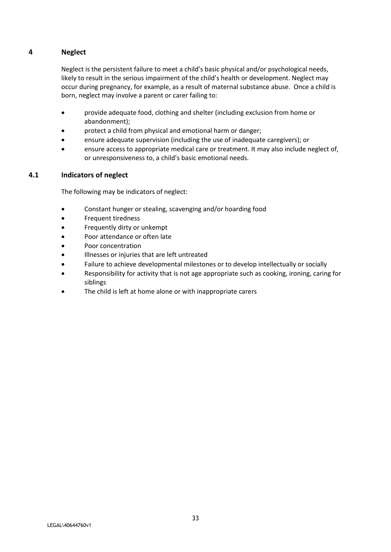## **4 Neglect**

Neglect is the persistent failure to meet a child's basic physical and/or psychological needs, likely to result in the serious impairment of the child's health or development. Neglect may occur during pregnancy, for example, as a result of maternal substance abuse. Once a child is born, neglect may involve a parent or carer failing to:

- provide adequate food, clothing and shelter (including exclusion from home or abandonment);
- protect a child from physical and emotional harm or danger;
- ensure adequate supervision (including the use of inadequate caregivers); or
- ensure access to appropriate medical care or treatment. It may also include neglect of, or unresponsiveness to, a child's basic emotional needs.

## **4.1 Indicators of neglect**

The following may be indicators of neglect:

- Constant hunger or stealing, scavenging and/or hoarding food
- **•** Frequent tiredness
- Frequently dirty or unkempt
- Poor attendance or often late
- Poor concentration
- Illnesses or injuries that are left untreated
- Failure to achieve developmental milestones or to develop intellectually or socially
- Responsibility for activity that is not age appropriate such as cooking, ironing, caring for siblings
- The child is left at home alone or with inappropriate carers